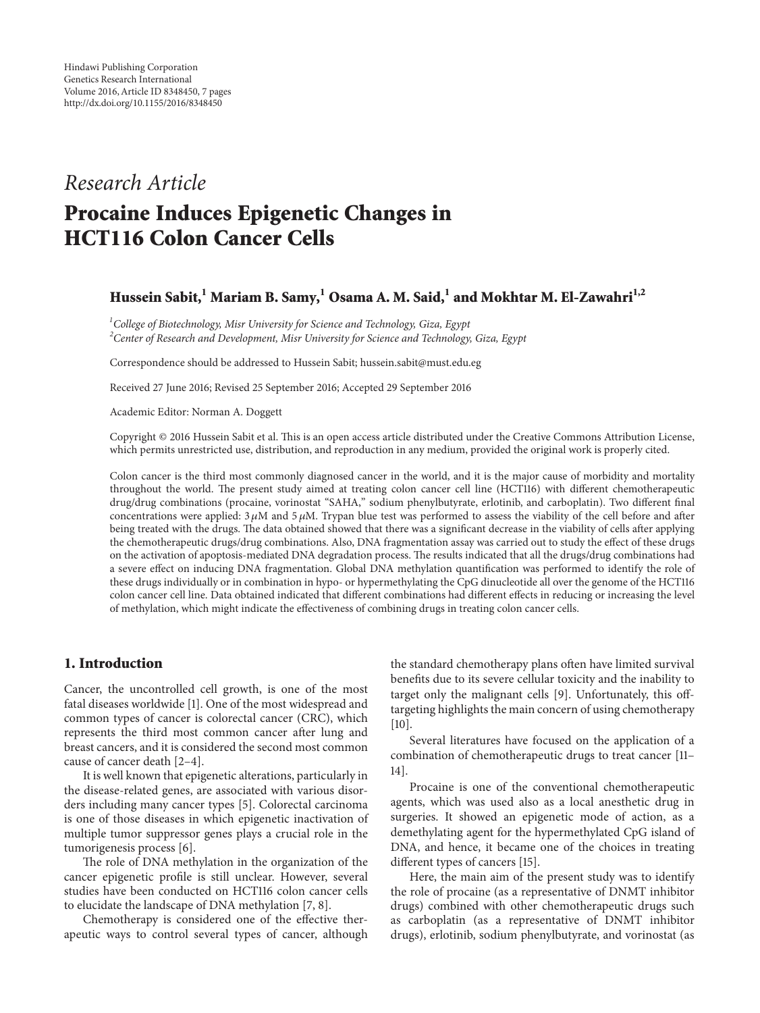# *Research Article* **Procaine Induces Epigenetic Changes in HCT116 Colon Cancer Cells**

# **Hussein Sabit,1 Mariam B. Samy,1 Osama A. M. Said,1 and Mokhtar M. El-Zawahri1,2**

*1 College of Biotechnology, Misr University for Science and Technology, Giza, Egypt 2 Center of Research and Development, Misr University for Science and Technology, Giza, Egypt*

Correspondence should be addressed to Hussein Sabit; hussein.sabit@must.edu.eg

Received 27 June 2016; Revised 25 September 2016; Accepted 29 September 2016

Academic Editor: Norman A. Doggett

Copyright © 2016 Hussein Sabit et al. This is an open access article distributed under the Creative Commons Attribution License, which permits unrestricted use, distribution, and reproduction in any medium, provided the original work is properly cited.

Colon cancer is the third most commonly diagnosed cancer in the world, and it is the major cause of morbidity and mortality throughout the world. The present study aimed at treating colon cancer cell line (HCT116) with different chemotherapeutic drug/drug combinations (procaine, vorinostat "SAHA," sodium phenylbutyrate, erlotinib, and carboplatin). Two different final concentrations were applied:  $3 \mu$ M and  $5 \mu$ M. Trypan blue test was performed to assess the viability of the cell before and after being treated with the drugs. The data obtained showed that there was a significant decrease in the viability of cells after applying the chemotherapeutic drugs/drug combinations. Also, DNA fragmentation assay was carried out to study the effect of these drugs on the activation of apoptosis-mediated DNA degradation process. The results indicated that all the drugs/drug combinations had a severe effect on inducing DNA fragmentation. Global DNA methylation quantification was performed to identify the role of these drugs individually or in combination in hypo- or hypermethylating the CpG dinucleotide all over the genome of the HCT116 colon cancer cell line. Data obtained indicated that different combinations had different effects in reducing or increasing the level of methylation, which might indicate the effectiveness of combining drugs in treating colon cancer cells.

# **1. Introduction**

Cancer, the uncontrolled cell growth, is one of the most fatal diseases worldwide [\[1\]](#page-4-0). One of the most widespread and common types of cancer is colorectal cancer (CRC), which represents the third most common cancer after lung and breast cancers, and it is considered the second most common cause of cancer death [\[2](#page-4-1)[–4\]](#page-4-2).

It is well known that epigenetic alterations, particularly in the disease-related genes, are associated with various disorders including many cancer types [\[5](#page-4-3)]. Colorectal carcinoma is one of those diseases in which epigenetic inactivation of multiple tumor suppressor genes plays a crucial role in the tumorigenesis process [\[6](#page-4-4)].

The role of DNA methylation in the organization of the cancer epigenetic profile is still unclear. However, several studies have been conducted on HCT116 colon cancer cells to elucidate the landscape of DNA methylation [\[7,](#page-4-5) [8](#page-4-6)].

Chemotherapy is considered one of the effective therapeutic ways to control several types of cancer, although the standard chemotherapy plans often have limited survival benefits due to its severe cellular toxicity and the inability to target only the malignant cells [\[9\]](#page-4-7). Unfortunately, this offtargeting highlights the main concern of using chemotherapy  $[10]$  $[10]$ .

Several literatures have focused on the application of a combination of chemotherapeutic drugs to treat cancer [\[11–](#page-5-0) [14\]](#page-5-1).

Procaine is one of the conventional chemotherapeutic agents, which was used also as a local anesthetic drug in surgeries. It showed an epigenetic mode of action, as a demethylating agent for the hypermethylated CpG island of DNA, and hence, it became one of the choices in treating different types of cancers [\[15](#page-5-2)].

Here, the main aim of the present study was to identify the role of procaine (as a representative of DNMT inhibitor drugs) combined with other chemotherapeutic drugs such as carboplatin (as a representative of DNMT inhibitor drugs), erlotinib, sodium phenylbutyrate, and vorinostat (as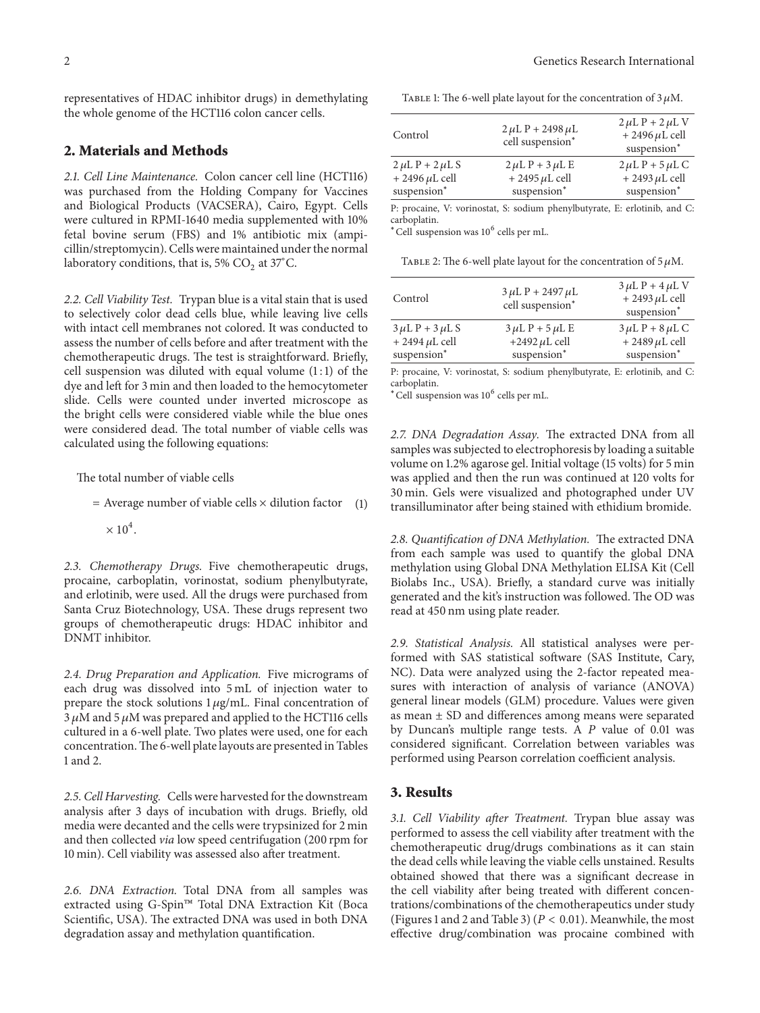representatives of HDAC inhibitor drugs) in demethylating the whole genome of the HCT116 colon cancer cells.

#### **2. Materials and Methods**

*2.1. Cell Line Maintenance.* Colon cancer cell line (HCT116) was purchased from the Holding Company for Vaccines and Biological Products (VACSERA), Cairo, Egypt. Cells were cultured in RPMI-1640 media supplemented with 10% fetal bovine serum (FBS) and 1% antibiotic mix (ampicillin/streptomycin). Cells were maintained under the normal laboratory conditions, that is, 5%  $CO<sub>2</sub>$  at 37°C.

*2.2. Cell Viability Test.* Trypan blue is a vital stain that is used to selectively color dead cells blue, while leaving live cells with intact cell membranes not colored. It was conducted to assess the number of cells before and after treatment with the chemotherapeutic drugs. The test is straightforward. Briefly, cell suspension was diluted with equal volume  $(1:1)$  of the dye and left for 3 min and then loaded to the hemocytometer slide. Cells were counted under inverted microscope as the bright cells were considered viable while the blue ones were considered dead. The total number of viable cells was calculated using the following equations:

The total number of viable cells

= Average number of viable cells × dilution factor (1)

 $\times$  10<sup>4</sup>.

*2.3. Chemotherapy Drugs.* Five chemotherapeutic drugs, procaine, carboplatin, vorinostat, sodium phenylbutyrate, and erlotinib, were used. All the drugs were purchased from Santa Cruz Biotechnology, USA. These drugs represent two groups of chemotherapeutic drugs: HDAC inhibitor and DNMT inhibitor.

*2.4. Drug Preparation and Application.* Five micrograms of each drug was dissolved into 5 mL of injection water to prepare the stock solutions  $1 \mu g/mL$ . Final concentration of  $3 \mu$ M and  $5 \mu$ M was prepared and applied to the HCT116 cells cultured in a 6-well plate. Two plates were used, one for each concentration.The 6-well plate layouts are presented in Tables [1](#page-1-0) and [2.](#page-1-1)

*2.5. Cell Harvesting.* Cells were harvested for the downstream analysis after 3 days of incubation with drugs. Briefly, old media were decanted and the cells were trypsinized for 2 min and then collected *via* low speed centrifugation (200 rpm for 10 min). Cell viability was assessed also after treatment.

*2.6. DNA Extraction.* Total DNA from all samples was extracted using G-Spin™ Total DNA Extraction Kit (Boca Scientific, USA). The extracted DNA was used in both DNA degradation assay and methylation quantification.

<span id="page-1-0"></span>TABLE 1: The 6-well plate layout for the concentration of  $3 \mu$ M.

| Control                                                       | $2 \mu L P + 2498 \mu L$<br>cell suspension*                  | $2 \mu L P + 2 \mu L V$<br>$+ 2496 \mu L$ cell<br>suspension <sup>*</sup> |
|---------------------------------------------------------------|---------------------------------------------------------------|---------------------------------------------------------------------------|
| $2 \mu L P + 2 \mu L S$<br>$+ 2496 \mu L$ cell<br>suspension* | $2 \mu L P + 3 \mu L E$<br>$+ 2495 \mu L$ cell<br>suspension* | $2 \mu L P + 5 \mu L C$<br>$+ 2493 \mu L$ cell<br>suspension*             |
|                                                               |                                                               |                                                                           |

P: procaine, V: vorinostat, S: sodium phenylbutyrate, E: erlotinib, and C: carboplatin.

 $*$ Cell suspension was  $10<sup>6</sup>$  cells per mL.

<span id="page-1-1"></span>TABLE 2: The 6-well plate layout for the concentration of  $5 \mu M$ .

| Control                 | $3 \mu L P + 2497 \mu L$<br>cell suspension* | $3 \mu L P + 4 \mu L V$<br>$+ 2493 \mu L$ cell<br>suspension <sup>*</sup> |
|-------------------------|----------------------------------------------|---------------------------------------------------------------------------|
| $3 \mu L P + 3 \mu L S$ | $3 \mu L P + 5 \mu L E$                      | $3 \mu L P + 8 \mu L C$                                                   |
| $+ 2494 \mu L$ cell     | +2492 $\mu$ L cell                           | $+ 2489 \mu L$ cell                                                       |
| suspension*             | suspension*                                  | suspension*                                                               |

P: procaine, V: vorinostat, S: sodium phenylbutyrate, E: erlotinib, and C: carboplatin.

<sup>∗</sup>Cell suspension was 10<sup>6</sup> cells per mL.

*2.7. DNA Degradation Assay.* The extracted DNA from all samples was subjected to electrophoresis by loading a suitable volume on 1.2% agarose gel. Initial voltage (15 volts) for 5 min was applied and then the run was continued at 120 volts for 30 min. Gels were visualized and photographed under UV transilluminator after being stained with ethidium bromide.

*2.8. Quantification of DNA Methylation.* The extracted DNA from each sample was used to quantify the global DNA methylation using Global DNA Methylation ELISA Kit (Cell Biolabs Inc., USA). Briefly, a standard curve was initially generated and the kit's instruction was followed. The OD was read at 450 nm using plate reader.

*2.9. Statistical Analysis.* All statistical analyses were performed with SAS statistical software (SAS Institute, Cary, NC). Data were analyzed using the 2-factor repeated measures with interaction of analysis of variance (ANOVA) general linear models (GLM) procedure. Values were given as mean ± SD and differences among means were separated by Duncan's multiple range tests. A  $P$  value of 0.01 was considered significant. Correlation between variables was performed using Pearson correlation coefficient analysis.

# **3. Results**

*3.1. Cell Viability after Treatment.* Trypan blue assay was performed to assess the cell viability after treatment with the chemotherapeutic drug/drugs combinations as it can stain the dead cells while leaving the viable cells unstained. Results obtained showed that there was a significant decrease in the cell viability after being treated with different concentrations/combinations of the chemotherapeutics under study (Figures [1](#page-2-0) and [2](#page-2-1) and Table [3\)](#page-2-2) ( $P < 0.01$ ). Meanwhile, the most effective drug/combination was procaine combined with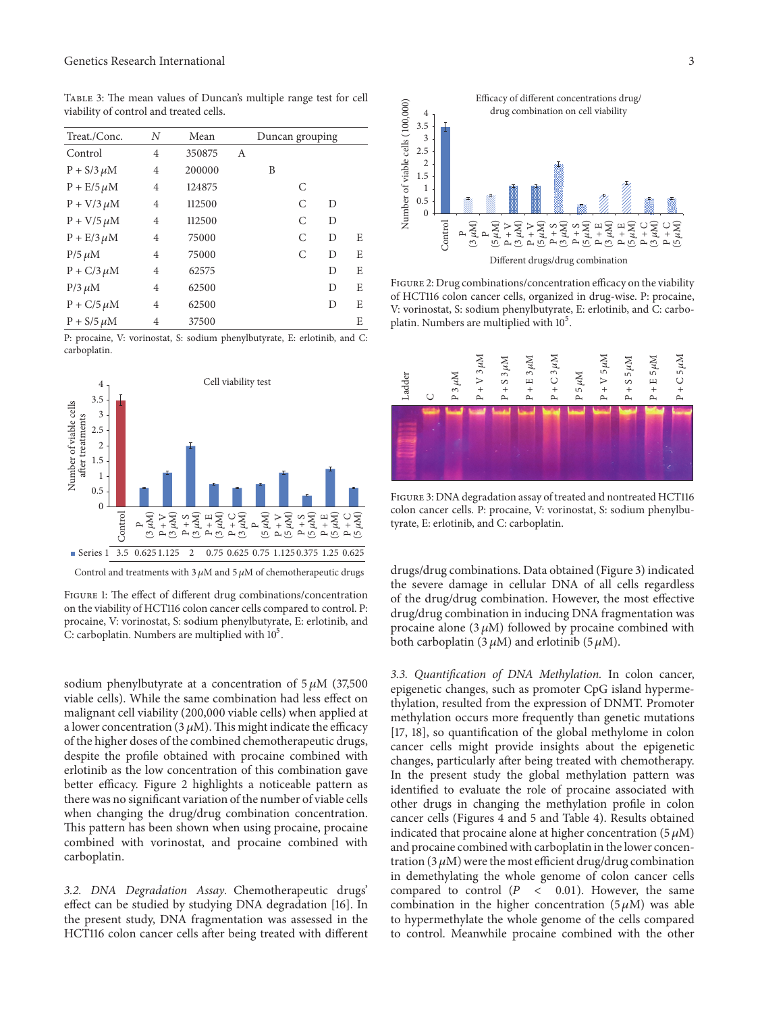<span id="page-2-2"></span>Table 3: The mean values of Duncan's multiple range test for cell viability of control and treated cells.

| Treat./Conc.      | N              | Mean   | Duncan grouping |   |   |   |   |
|-------------------|----------------|--------|-----------------|---|---|---|---|
| Control           | $\overline{4}$ | 350875 | А               |   |   |   |   |
| $P + S/3 \mu M$   | $\overline{4}$ | 200000 |                 | B |   |   |   |
| $P + E/5$ $\mu$ M | $\overline{4}$ | 124875 |                 |   | C |   |   |
| $P + V/3$ $\mu$ M | $\overline{4}$ | 112500 |                 |   | C | D |   |
| $P + V/5$ $\mu$ M | $\overline{4}$ | 112500 |                 |   | C | D |   |
| $P + E/3$ $\mu$ M | 4              | 75000  |                 |   | C | D | Е |
| $P/5 \mu M$       | $\overline{4}$ | 75000  |                 |   | C | D | E |
| $P + C/3$ $\mu$ M | $\overline{4}$ | 62575  |                 |   |   | D | E |
| $P/3$ $\mu$ M     | $\overline{4}$ | 62500  |                 |   |   | D | E |
| $P + C/5$ $\mu$ M | $\overline{4}$ | 62500  |                 |   |   | D | E |
| $P + S/5 \mu M$   | $\overline{4}$ | 37500  |                 |   |   |   | E |

P: procaine, V: vorinostat, S: sodium phenylbutyrate, E: erlotinib, and C: carboplatin.



Control and treatments with 3  $\mu$ M and 5  $\mu$ M of chemotherapeutic drugs

<span id="page-2-0"></span>Figure 1: The effect of different drug combinations/concentration on the viability of HCT116 colon cancer cells compared to control. P: procaine, V: vorinostat, S: sodium phenylbutyrate, E: erlotinib, and C: carboplatin. Numbers are multiplied with  $10^5$ .

sodium phenylbutyrate at a concentration of  $5 \mu M$  (37,500) viable cells). While the same combination had less effect on malignant cell viability (200,000 viable cells) when applied at a lower concentration (3  $\mu$ M). This might indicate the efficacy of the higher doses of the combined chemotherapeutic drugs, despite the profile obtained with procaine combined with erlotinib as the low concentration of this combination gave better efficacy. Figure [2](#page-2-1) highlights a noticeable pattern as there was no significant variation of the number of viable cells when changing the drug/drug combination concentration. This pattern has been shown when using procaine, procaine combined with vorinostat, and procaine combined with carboplatin.

*3.2. DNA Degradation Assay.* Chemotherapeutic drugs' effect can be studied by studying DNA degradation [\[16](#page-5-3)]. In the present study, DNA fragmentation was assessed in the HCT116 colon cancer cells after being treated with different



<span id="page-2-1"></span>Figure 2: Drug combinations/concentration efficacy on the viability of HCT116 colon cancer cells, organized in drug-wise. P: procaine, V: vorinostat, S: sodium phenylbutyrate, E: erlotinib, and C: carboplatin. Numbers are multiplied with 10<sup>5</sup>.



<span id="page-2-3"></span>Figure 3: DNA degradation assay of treated and nontreated HCT116 colon cancer cells. P: procaine, V: vorinostat, S: sodium phenylbutyrate, E: erlotinib, and C: carboplatin.

drugs/drug combinations. Data obtained (Figure [3\)](#page-2-3) indicated the severe damage in cellular DNA of all cells regardless of the drug/drug combination. However, the most effective drug/drug combination in inducing DNA fragmentation was procaine alone  $(3 \mu M)$  followed by procaine combined with both carboplatin (3  $\mu$ M) and erlotinib (5  $\mu$ M).

*3.3. Quantification of DNA Methylation.* In colon cancer, epigenetic changes, such as promoter CpG island hypermethylation, resulted from the expression of DNMT. Promoter methylation occurs more frequently than genetic mutations [\[17,](#page-5-4) [18](#page-5-5)], so quantification of the global methylome in colon cancer cells might provide insights about the epigenetic changes, particularly after being treated with chemotherapy. In the present study the global methylation pattern was identified to evaluate the role of procaine associated with other drugs in changing the methylation profile in colon cancer cells (Figures [4](#page-3-0) and [5](#page-3-1) and Table [4\)](#page-3-2). Results obtained indicated that procaine alone at higher concentration  $(5 \mu M)$ and procaine combined with carboplatin in the lower concentration (3  $\mu$ M) were the most efficient drug/drug combination in demethylating the whole genome of colon cancer cells compared to control  $(P \lt 0.01)$ . However, the same combination in the higher concentration  $(5 \mu M)$  was able to hypermethylate the whole genome of the cells compared to control. Meanwhile procaine combined with the other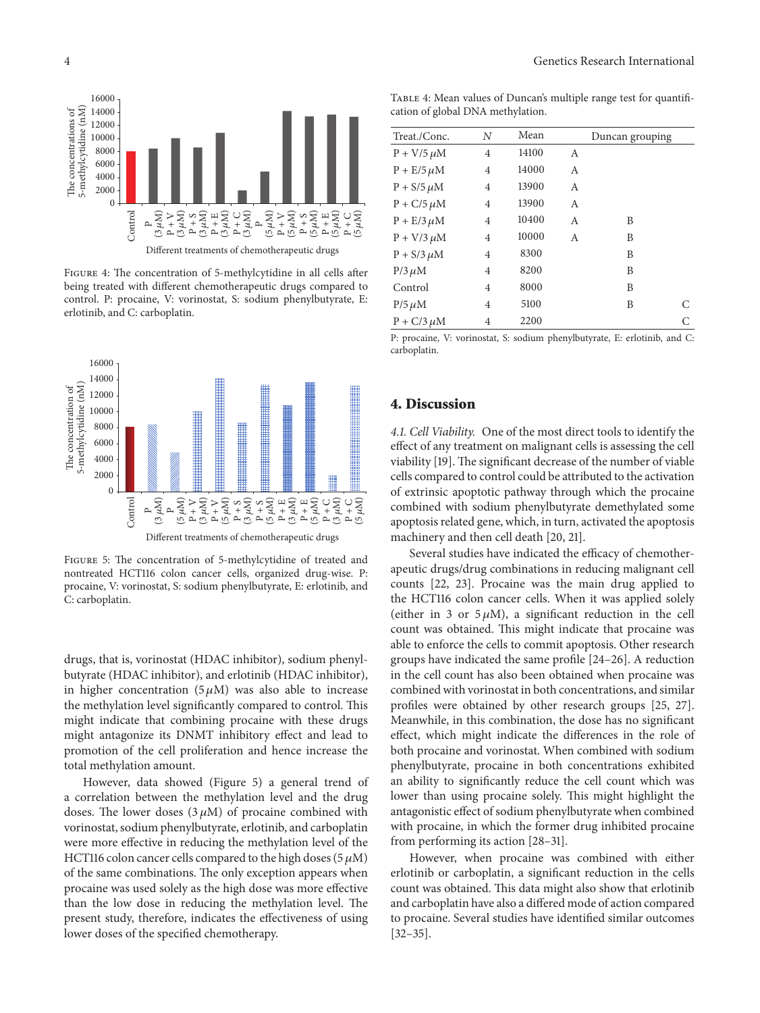

<span id="page-3-0"></span>Figure 4: The concentration of 5-methylcytidine in all cells after being treated with different chemotherapeutic drugs compared to control. P: procaine, V: vorinostat, S: sodium phenylbutyrate, E: erlotinib, and C: carboplatin.



<span id="page-3-1"></span>Figure 5: The concentration of 5-methylcytidine of treated and nontreated HCT116 colon cancer cells, organized drug-wise. P: procaine, V: vorinostat, S: sodium phenylbutyrate, E: erlotinib, and C: carboplatin.

drugs, that is, vorinostat (HDAC inhibitor), sodium phenylbutyrate (HDAC inhibitor), and erlotinib (HDAC inhibitor), in higher concentration  $(5 \mu M)$  was also able to increase the methylation level significantly compared to control. This might indicate that combining procaine with these drugs might antagonize its DNMT inhibitory effect and lead to promotion of the cell proliferation and hence increase the total methylation amount.

However, data showed (Figure [5\)](#page-3-1) a general trend of a correlation between the methylation level and the drug doses. The lower doses  $(3 \mu M)$  of procaine combined with vorinostat, sodium phenylbutyrate, erlotinib, and carboplatin were more effective in reducing the methylation level of the HCT116 colon cancer cells compared to the high doses ( $5 \mu M$ ) of the same combinations. The only exception appears when procaine was used solely as the high dose was more effective than the low dose in reducing the methylation level. The present study, therefore, indicates the effectiveness of using lower doses of the specified chemotherapy.

<span id="page-3-2"></span>TABLE 4: Mean values of Duncan's multiple range test for quantification of global DNA methylation.

| Treat./Conc.      | N              | Mean  |   | Duncan grouping |   |
|-------------------|----------------|-------|---|-----------------|---|
| $P + V/5 \mu M$   | $\overline{4}$ | 14100 | A |                 |   |
| $P + E/5 \mu M$   | $\overline{4}$ | 14000 | A |                 |   |
| $P + S/5 \mu M$   | $\overline{4}$ | 13900 | A |                 |   |
| $P + C/5 \mu M$   | $\overline{4}$ | 13900 | A |                 |   |
| $P + E/3$ $\mu$ M | $\overline{4}$ | 10400 | A | B               |   |
| $P + V/3$ $\mu$ M | $\overline{4}$ | 10000 | A | B               |   |
| $P + S/3 \mu M$   | $\overline{4}$ | 8300  |   | B               |   |
| $P/3 \mu M$       | $\overline{4}$ | 8200  |   | B               |   |
| Control           | $\overline{4}$ | 8000  |   | B               |   |
| $P/5 \mu M$       | $\overline{4}$ | 5100  |   | B               | C |
| $P + C/3$ $\mu$ M | 4              | 2200  |   |                 | С |
|                   |                |       |   |                 |   |

P: procaine, V: vorinostat, S: sodium phenylbutyrate, E: erlotinib, and C: carboplatin.

# **4. Discussion**

*4.1. Cell Viability.* One of the most direct tools to identify the effect of any treatment on malignant cells is assessing the cell viability [\[19](#page-5-6)]. The significant decrease of the number of viable cells compared to control could be attributed to the activation of extrinsic apoptotic pathway through which the procaine combined with sodium phenylbutyrate demethylated some apoptosis related gene, which, in turn, activated the apoptosis machinery and then cell death [\[20](#page-5-7), [21](#page-5-8)].

Several studies have indicated the efficacy of chemotherapeutic drugs/drug combinations in reducing malignant cell counts [\[22,](#page-5-9) [23](#page-5-10)]. Procaine was the main drug applied to the HCT116 colon cancer cells. When it was applied solely (either in 3 or  $5 \mu M$ ), a significant reduction in the cell count was obtained. This might indicate that procaine was able to enforce the cells to commit apoptosis. Other research groups have indicated the same profile [\[24](#page-5-11)[–26](#page-5-12)]. A reduction in the cell count has also been obtained when procaine was combined with vorinostat in both concentrations, and similar profiles were obtained by other research groups [\[25,](#page-5-13) [27](#page-5-14)]. Meanwhile, in this combination, the dose has no significant effect, which might indicate the differences in the role of both procaine and vorinostat. When combined with sodium phenylbutyrate, procaine in both concentrations exhibited an ability to significantly reduce the cell count which was lower than using procaine solely. This might highlight the antagonistic effect of sodium phenylbutyrate when combined with procaine, in which the former drug inhibited procaine from performing its action [\[28](#page-5-15)[–31\]](#page-5-16).

However, when procaine was combined with either erlotinib or carboplatin, a significant reduction in the cells count was obtained. This data might also show that erlotinib and carboplatin have also a differed mode of action compared to procaine. Several studies have identified similar outcomes [\[32](#page-5-17)[–35](#page-5-18)].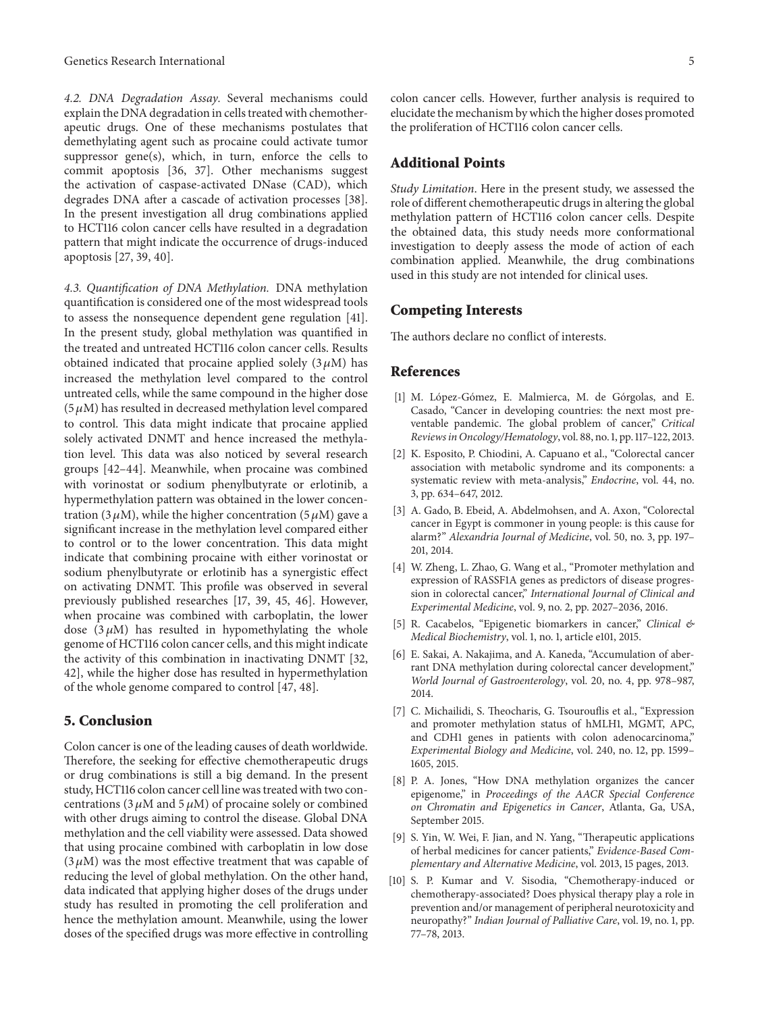*4.2. DNA Degradation Assay.* Several mechanisms could explain the DNA degradation in cells treated with chemotherapeutic drugs. One of these mechanisms postulates that demethylating agent such as procaine could activate tumor suppressor gene(s), which, in turn, enforce the cells to commit apoptosis [\[36](#page-5-19), [37\]](#page-5-20). Other mechanisms suggest the activation of caspase-activated DNase (CAD), which degrades DNA after a cascade of activation processes [\[38\]](#page-5-21). In the present investigation all drug combinations applied to HCT116 colon cancer cells have resulted in a degradation pattern that might indicate the occurrence of drugs-induced apoptosis [\[27](#page-5-14), [39,](#page-5-22) [40\]](#page-5-23).

*4.3. Quantification of DNA Methylation.* DNA methylation quantification is considered one of the most widespread tools to assess the nonsequence dependent gene regulation [\[41\]](#page-5-24). In the present study, global methylation was quantified in the treated and untreated HCT116 colon cancer cells. Results obtained indicated that procaine applied solely  $(3 \mu M)$  has increased the methylation level compared to the control untreated cells, while the same compound in the higher dose  $(5 \mu M)$  has resulted in decreased methylation level compared to control. This data might indicate that procaine applied solely activated DNMT and hence increased the methylation level. This data was also noticed by several research groups [\[42](#page-5-25)[–44\]](#page-5-26). Meanwhile, when procaine was combined with vorinostat or sodium phenylbutyrate or erlotinib, a hypermethylation pattern was obtained in the lower concentration (3  $\mu$ M), while the higher concentration (5  $\mu$ M) gave a significant increase in the methylation level compared either to control or to the lower concentration. This data might indicate that combining procaine with either vorinostat or sodium phenylbutyrate or erlotinib has a synergistic effect on activating DNMT. This profile was observed in several previously published researches [\[17](#page-5-4), [39](#page-5-22), [45](#page-5-27), [46](#page-6-0)]. However, when procaine was combined with carboplatin, the lower dose  $(3 \mu M)$  has resulted in hypomethylating the whole genome of HCT116 colon cancer cells, and this might indicate the activity of this combination in inactivating DNMT [\[32](#page-5-17), [42](#page-5-25)], while the higher dose has resulted in hypermethylation of the whole genome compared to control [\[47,](#page-6-1) [48](#page-6-2)].

# **5. Conclusion**

Colon cancer is one of the leading causes of death worldwide. Therefore, the seeking for effective chemotherapeutic drugs or drug combinations is still a big demand. In the present study, HCT116 colon cancer cell line was treated with two concentrations (3  $\mu$ M and 5  $\mu$ M) of procaine solely or combined with other drugs aiming to control the disease. Global DNA methylation and the cell viability were assessed. Data showed that using procaine combined with carboplatin in low dose  $(3 \mu M)$  was the most effective treatment that was capable of reducing the level of global methylation. On the other hand, data indicated that applying higher doses of the drugs under study has resulted in promoting the cell proliferation and hence the methylation amount. Meanwhile, using the lower doses of the specified drugs was more effective in controlling colon cancer cells. However, further analysis is required to elucidate the mechanism by which the higher doses promoted the proliferation of HCT116 colon cancer cells.

# **Additional Points**

*Study Limitation*. Here in the present study, we assessed the role of different chemotherapeutic drugs in altering the global methylation pattern of HCT116 colon cancer cells. Despite the obtained data, this study needs more conformational investigation to deeply assess the mode of action of each combination applied. Meanwhile, the drug combinations used in this study are not intended for clinical uses.

# **Competing Interests**

The authors declare no conflict of interests.

# **References**

- <span id="page-4-0"></span>[1] M. López-Gómez, E. Malmierca, M. de Górgolas, and E. Casado, "Cancer in developing countries: the next most preventable pandemic. The global problem of cancer," *Critical Reviews in Oncology/Hematology*, vol. 88, no. 1, pp. 117–122, 2013.
- <span id="page-4-1"></span>[2] K. Esposito, P. Chiodini, A. Capuano et al., "Colorectal cancer association with metabolic syndrome and its components: a systematic review with meta-analysis," *Endocrine*, vol. 44, no. 3, pp. 634–647, 2012.
- [3] A. Gado, B. Ebeid, A. Abdelmohsen, and A. Axon, "Colorectal cancer in Egypt is commoner in young people: is this cause for alarm?" *Alexandria Journal of Medicine*, vol. 50, no. 3, pp. 197– 201, 2014.
- <span id="page-4-2"></span>[4] W. Zheng, L. Zhao, G. Wang et al., "Promoter methylation and expression of RASSF1A genes as predictors of disease progression in colorectal cancer," *International Journal of Clinical and Experimental Medicine*, vol. 9, no. 2, pp. 2027–2036, 2016.
- <span id="page-4-3"></span>[5] R. Cacabelos, "Epigenetic biomarkers in cancer," *Clinical & Medical Biochemistry*, vol. 1, no. 1, article e101, 2015.
- <span id="page-4-4"></span>[6] E. Sakai, A. Nakajima, and A. Kaneda, "Accumulation of aberrant DNA methylation during colorectal cancer development," *World Journal of Gastroenterology*, vol. 20, no. 4, pp. 978–987, 2014.
- <span id="page-4-5"></span>[7] C. Michailidi, S. Theocharis, G. Tsourouflis et al., "Expression and promoter methylation status of hMLH1, MGMT, APC, and CDH1 genes in patients with colon adenocarcinoma," *Experimental Biology and Medicine*, vol. 240, no. 12, pp. 1599– 1605, 2015.
- <span id="page-4-6"></span>[8] P. A. Jones, "How DNA methylation organizes the cancer epigenome," in *Proceedings of the AACR Special Conference on Chromatin and Epigenetics in Cancer*, Atlanta, Ga, USA, September 2015.
- <span id="page-4-7"></span>[9] S. Yin, W. Wei, F. Jian, and N. Yang, "Therapeutic applications of herbal medicines for cancer patients," *Evidence-Based Complementary and Alternative Medicine*, vol. 2013, 15 pages, 2013.
- <span id="page-4-8"></span>[10] S. P. Kumar and V. Sisodia, "Chemotherapy-induced or chemotherapy-associated? Does physical therapy play a role in prevention and/or management of peripheral neurotoxicity and neuropathy?" *Indian Journal of Palliative Care*, vol. 19, no. 1, pp. 77–78, 2013.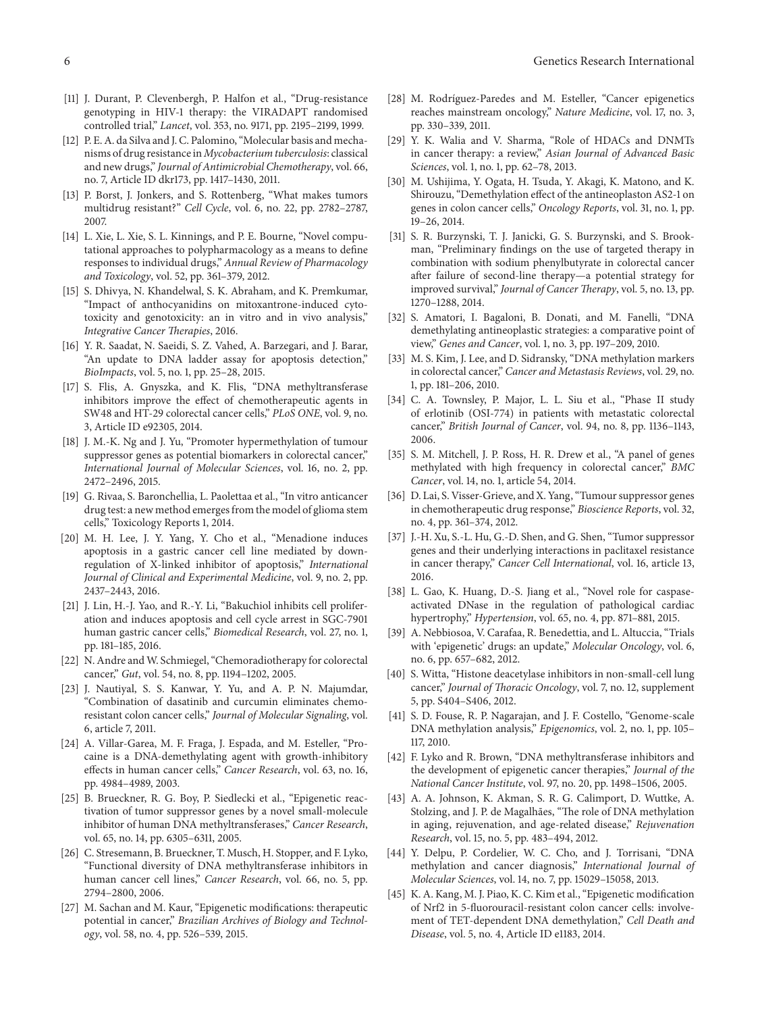- <span id="page-5-0"></span>[11] J. Durant, P. Clevenbergh, P. Halfon et al., "Drug-resistance genotyping in HIV-1 therapy: the VIRADAPT randomised controlled trial," *Lancet*, vol. 353, no. 9171, pp. 2195–2199, 1999.
- [12] P. E. A. da Silva and J. C. Palomino, "Molecular basis and mechanisms of drug resistance in *Mycobacterium tuberculosis*: classical and new drugs," *Journal of Antimicrobial Chemotherapy*, vol. 66, no. 7, Article ID dkr173, pp. 1417–1430, 2011.
- [13] P. Borst, J. Jonkers, and S. Rottenberg, "What makes tumors multidrug resistant?" *Cell Cycle*, vol. 6, no. 22, pp. 2782–2787, 2007.
- <span id="page-5-1"></span>[14] L. Xie, L. Xie, S. L. Kinnings, and P. E. Bourne, "Novel computational approaches to polypharmacology as a means to define responses to individual drugs," *Annual Review of Pharmacology and Toxicology*, vol. 52, pp. 361–379, 2012.
- <span id="page-5-2"></span>[15] S. Dhivya, N. Khandelwal, S. K. Abraham, and K. Premkumar, "Impact of anthocyanidins on mitoxantrone-induced cytotoxicity and genotoxicity: an in vitro and in vivo analysis," *Integrative Cancer Therapies*, 2016.
- <span id="page-5-3"></span>[16] Y. R. Saadat, N. Saeidi, S. Z. Vahed, A. Barzegari, and J. Barar, "An update to DNA ladder assay for apoptosis detection," *BioImpacts*, vol. 5, no. 1, pp. 25–28, 2015.
- <span id="page-5-4"></span>[17] S. Flis, A. Gnyszka, and K. Flis, "DNA methyltransferase inhibitors improve the effect of chemotherapeutic agents in SW48 and HT-29 colorectal cancer cells," *PLoS ONE*, vol. 9, no. 3, Article ID e92305, 2014.
- <span id="page-5-5"></span>[18] J. M.-K. Ng and J. Yu, "Promoter hypermethylation of tumour suppressor genes as potential biomarkers in colorectal cancer," *International Journal of Molecular Sciences*, vol. 16, no. 2, pp. 2472–2496, 2015.
- <span id="page-5-6"></span>[19] G. Rivaa, S. Baronchellia, L. Paolettaa et al., "In vitro anticancer drug test: a new method emerges from the model of glioma stem cells," Toxicology Reports 1, 2014.
- <span id="page-5-7"></span>[20] M. H. Lee, J. Y. Yang, Y. Cho et al., "Menadione induces apoptosis in a gastric cancer cell line mediated by downregulation of X-linked inhibitor of apoptosis," *International Journal of Clinical and Experimental Medicine*, vol. 9, no. 2, pp. 2437–2443, 2016.
- <span id="page-5-8"></span>[21] J. Lin, H.-J. Yao, and R.-Y. Li, "Bakuchiol inhibits cell proliferation and induces apoptosis and cell cycle arrest in SGC-7901 human gastric cancer cells," *Biomedical Research*, vol. 27, no. 1, pp. 181–185, 2016.
- <span id="page-5-9"></span>[22] N. Andre and W. Schmiegel, "Chemoradiotherapy for colorectal cancer," *Gut*, vol. 54, no. 8, pp. 1194–1202, 2005.
- <span id="page-5-10"></span>[23] J. Nautiyal, S. S. Kanwar, Y. Yu, and A. P. N. Majumdar, "Combination of dasatinib and curcumin eliminates chemoresistant colon cancer cells," *Journal of Molecular Signaling*, vol. 6, article 7, 2011.
- <span id="page-5-11"></span>[24] A. Villar-Garea, M. F. Fraga, J. Espada, and M. Esteller, "Procaine is a DNA-demethylating agent with growth-inhibitory effects in human cancer cells," *Cancer Research*, vol. 63, no. 16, pp. 4984–4989, 2003.
- <span id="page-5-13"></span>[25] B. Brueckner, R. G. Boy, P. Siedlecki et al., "Epigenetic reactivation of tumor suppressor genes by a novel small-molecule inhibitor of human DNA methyltransferases," *Cancer Research*, vol. 65, no. 14, pp. 6305–6311, 2005.
- <span id="page-5-12"></span>[26] C. Stresemann, B. Brueckner, T. Musch, H. Stopper, and F. Lyko, "Functional diversity of DNA methyltransferase inhibitors in human cancer cell lines," *Cancer Research*, vol. 66, no. 5, pp. 2794–2800, 2006.
- <span id="page-5-14"></span>[27] M. Sachan and M. Kaur, "Epigenetic modifications: therapeutic potential in cancer," *Brazilian Archives of Biology and Technology*, vol. 58, no. 4, pp. 526–539, 2015.
- <span id="page-5-15"></span>[28] M. Rodríguez-Paredes and M. Esteller, "Cancer epigenetics reaches mainstream oncology," *Nature Medicine*, vol. 17, no. 3, pp. 330–339, 2011.
- [29] Y. K. Walia and V. Sharma, "Role of HDACs and DNMTs in cancer therapy: a review," *Asian Journal of Advanced Basic Sciences*, vol. 1, no. 1, pp. 62–78, 2013.
- [30] M. Ushijima, Y. Ogata, H. Tsuda, Y. Akagi, K. Matono, and K. Shirouzu, "Demethylation effect of the antineoplaston AS2-1 on genes in colon cancer cells," *Oncology Reports*, vol. 31, no. 1, pp. 19–26, 2014.
- <span id="page-5-16"></span>[31] S. R. Burzynski, T. J. Janicki, G. S. Burzynski, and S. Brookman, "Preliminary findings on the use of targeted therapy in combination with sodium phenylbutyrate in colorectal cancer after failure of second-line therapy—a potential strategy for improved survival," *Journal of Cancer Therapy*, vol. 5, no. 13, pp. 1270–1288, 2014.
- <span id="page-5-17"></span>[32] S. Amatori, I. Bagaloni, B. Donati, and M. Fanelli, "DNA demethylating antineoplastic strategies: a comparative point of view," *Genes and Cancer*, vol. 1, no. 3, pp. 197–209, 2010.
- [33] M. S. Kim, J. Lee, and D. Sidransky, "DNA methylation markers in colorectal cancer," *Cancer and Metastasis Reviews*, vol. 29, no. 1, pp. 181–206, 2010.
- [34] C. A. Townsley, P. Major, L. L. Siu et al., "Phase II study of erlotinib (OSI-774) in patients with metastatic colorectal cancer," *British Journal of Cancer*, vol. 94, no. 8, pp. 1136–1143, 2006.
- <span id="page-5-18"></span>[35] S. M. Mitchell, J. P. Ross, H. R. Drew et al., "A panel of genes methylated with high frequency in colorectal cancer," *BMC Cancer*, vol. 14, no. 1, article 54, 2014.
- <span id="page-5-19"></span>[36] D. Lai, S. Visser-Grieve, and X. Yang, "Tumour suppressor genes in chemotherapeutic drug response," *Bioscience Reports*, vol. 32, no. 4, pp. 361–374, 2012.
- <span id="page-5-20"></span>[37] J.-H. Xu, S.-L. Hu, G.-D. Shen, and G. Shen, "Tumor suppressor genes and their underlying interactions in paclitaxel resistance in cancer therapy," *Cancer Cell International*, vol. 16, article 13, 2016.
- <span id="page-5-21"></span>[38] L. Gao, K. Huang, D.-S. Jiang et al., "Novel role for caspaseactivated DNase in the regulation of pathological cardiac hypertrophy," *Hypertension*, vol. 65, no. 4, pp. 871–881, 2015.
- <span id="page-5-22"></span>[39] A. Nebbiosoa, V. Carafaa, R. Benedettia, and L. Altuccia, "Trials with 'epigenetic' drugs: an update," *Molecular Oncology*, vol. 6, no. 6, pp. 657–682, 2012.
- <span id="page-5-23"></span>[40] S. Witta, "Histone deacetylase inhibitors in non-small-cell lung cancer," *Journal of Thoracic Oncology*, vol. 7, no. 12, supplement 5, pp. S404–S406, 2012.
- <span id="page-5-24"></span>[41] S. D. Fouse, R. P. Nagarajan, and J. F. Costello, "Genome-scale DNA methylation analysis," *Epigenomics*, vol. 2, no. 1, pp. 105– 117, 2010.
- <span id="page-5-25"></span>[42] F. Lyko and R. Brown, "DNA methyltransferase inhibitors and the development of epigenetic cancer therapies," *Journal of the National Cancer Institute*, vol. 97, no. 20, pp. 1498–1506, 2005.
- [43] A. A. Johnson, K. Akman, S. R. G. Calimport, D. Wuttke, A. Stolzing, and J. P. de Magalhães, "The role of DNA methylation in aging, rejuvenation, and age-related disease," *Rejuvenation Research*, vol. 15, no. 5, pp. 483–494, 2012.
- <span id="page-5-26"></span>[44] Y. Delpu, P. Cordelier, W. C. Cho, and J. Torrisani, "DNA methylation and cancer diagnosis," *International Journal of Molecular Sciences*, vol. 14, no. 7, pp. 15029–15058, 2013.
- <span id="page-5-27"></span>[45] K. A. Kang, M. J. Piao, K. C. Kim et al., "Epigenetic modification of Nrf2 in 5-fluorouracil-resistant colon cancer cells: involvement of TET-dependent DNA demethylation," *Cell Death and Disease*, vol. 5, no. 4, Article ID e1183, 2014.